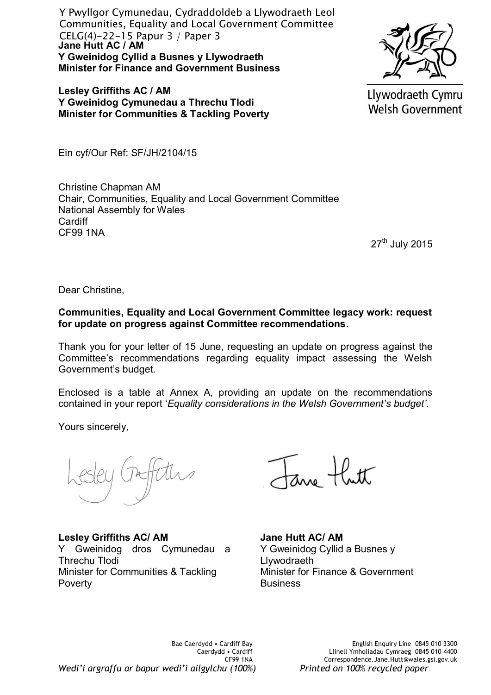**Jane Hutt AC / AM Y Gweinidog Cyllid a Busnes y Llywodraeth Minister for Finance and Government Business** Y Pwyllgor Cymunedau, Cydraddoldeb a Llywodraeth Leol Communities, Equality and Local Government Committee CELG(4)-22-15 Papur 3 / Paper 3

**Lesley Griffiths AC / AM Y Gweinidog Cymunedau a Threchu Tlodi Minister for Communities & Tackling Poverty**



Llywodraeth Cymru **Welsh Government** 

Ein cyf/Our Ref: SF/JH/2104/15

Christine Chapman AM Chair, Communities, Equality and Local Government Committee National Assembly for Wales **Cardiff** CF99 1NA

27<sup>th</sup> July 2015

Dear Christine,

**Communities, Equality and Local Government Committee legacy work: request for update on progress against Committee recommendations**.

Thank you for your letter of 15 June, requesting an update on progress against the Committee's recommendations regarding equality impact assessing the Welsh Government's budget.

Enclosed is a table at Annex A, providing an update on the recommendations contained in your report '*Equality considerations in the Welsh Government's budget'.* 

Yours sincerely*,* 

**Lesley Griffiths AC/ AM**  Y Gweinidog dros Cymunedau a Threchu Tlodi Minister for Communities & Tackling Poverty

**Jane Hutt AC/ AM**  Y Gweinidog Cyllid a Busnes y **Llywodraeth** Minister for Finance & Government **Business**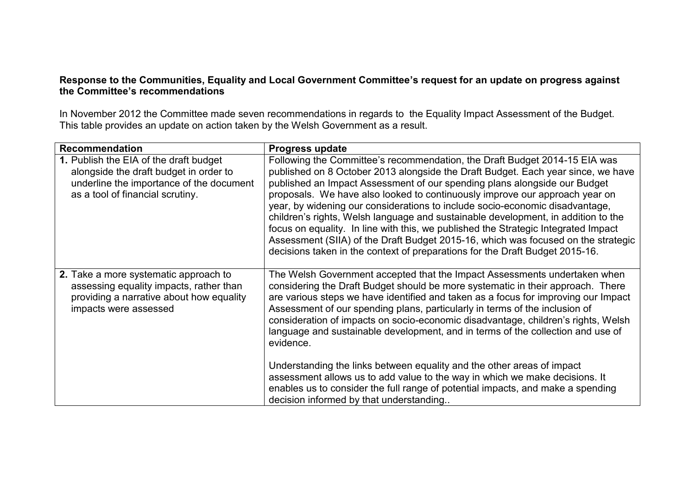## **Response to the Communities, Equality and Local Government Committee's request for an update on progress against the Committee's recommendations**

In November 2012 the Committee made seven recommendations in regards to the Equality Impact Assessment of the Budget. This table provides an update on action taken by the Welsh Government as a result.

| <b>Recommendation</b>                                                                                                                                            | Progress update                                                                                                                                                                                                                                                                                                                                                                                                                                                                                                                                                                                                                                                                                                                                                                                               |
|------------------------------------------------------------------------------------------------------------------------------------------------------------------|---------------------------------------------------------------------------------------------------------------------------------------------------------------------------------------------------------------------------------------------------------------------------------------------------------------------------------------------------------------------------------------------------------------------------------------------------------------------------------------------------------------------------------------------------------------------------------------------------------------------------------------------------------------------------------------------------------------------------------------------------------------------------------------------------------------|
| 1. Publish the EIA of the draft budget<br>alongside the draft budget in order to<br>underline the importance of the document<br>as a tool of financial scrutiny. | Following the Committee's recommendation, the Draft Budget 2014-15 EIA was<br>published on 8 October 2013 alongside the Draft Budget. Each year since, we have<br>published an Impact Assessment of our spending plans alongside our Budget<br>proposals. We have also looked to continuously improve our approach year on<br>year, by widening our considerations to include socio-economic disadvantage,<br>children's rights, Welsh language and sustainable development, in addition to the<br>focus on equality. In line with this, we published the Strategic Integrated Impact<br>Assessment (SIIA) of the Draft Budget 2015-16, which was focused on the strategic<br>decisions taken in the context of preparations for the Draft Budget 2015-16.                                                    |
| 2. Take a more systematic approach to<br>assessing equality impacts, rather than<br>providing a narrative about how equality<br>impacts were assessed            | The Welsh Government accepted that the Impact Assessments undertaken when<br>considering the Draft Budget should be more systematic in their approach. There<br>are various steps we have identified and taken as a focus for improving our Impact<br>Assessment of our spending plans, particularly in terms of the inclusion of<br>consideration of impacts on socio-economic disadvantage, children's rights, Welsh<br>language and sustainable development, and in terms of the collection and use of<br>evidence.<br>Understanding the links between equality and the other areas of impact<br>assessment allows us to add value to the way in which we make decisions. It<br>enables us to consider the full range of potential impacts, and make a spending<br>decision informed by that understanding |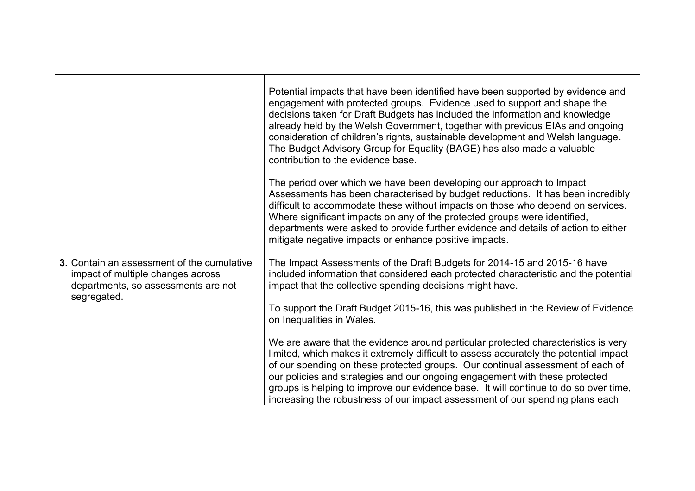|                                                                                                                                       | Potential impacts that have been identified have been supported by evidence and<br>engagement with protected groups. Evidence used to support and shape the<br>decisions taken for Draft Budgets has included the information and knowledge<br>already held by the Welsh Government, together with previous EIAs and ongoing<br>consideration of children's rights, sustainable development and Welsh language.<br>The Budget Advisory Group for Equality (BAGE) has also made a valuable<br>contribution to the evidence base. |
|---------------------------------------------------------------------------------------------------------------------------------------|---------------------------------------------------------------------------------------------------------------------------------------------------------------------------------------------------------------------------------------------------------------------------------------------------------------------------------------------------------------------------------------------------------------------------------------------------------------------------------------------------------------------------------|
|                                                                                                                                       | The period over which we have been developing our approach to Impact<br>Assessments has been characterised by budget reductions. It has been incredibly<br>difficult to accommodate these without impacts on those who depend on services.<br>Where significant impacts on any of the protected groups were identified,<br>departments were asked to provide further evidence and details of action to either<br>mitigate negative impacts or enhance positive impacts.                                                         |
| 3. Contain an assessment of the cumulative<br>impact of multiple changes across<br>departments, so assessments are not<br>segregated. | The Impact Assessments of the Draft Budgets for 2014-15 and 2015-16 have<br>included information that considered each protected characteristic and the potential<br>impact that the collective spending decisions might have.<br>To support the Draft Budget 2015-16, this was published in the Review of Evidence                                                                                                                                                                                                              |
|                                                                                                                                       | on Inequalities in Wales.<br>We are aware that the evidence around particular protected characteristics is very                                                                                                                                                                                                                                                                                                                                                                                                                 |
|                                                                                                                                       | limited, which makes it extremely difficult to assess accurately the potential impact<br>of our spending on these protected groups. Our continual assessment of each of<br>our policies and strategies and our ongoing engagement with these protected<br>groups is helping to improve our evidence base. It will continue to do so over time,<br>increasing the robustness of our impact assessment of our spending plans each                                                                                                 |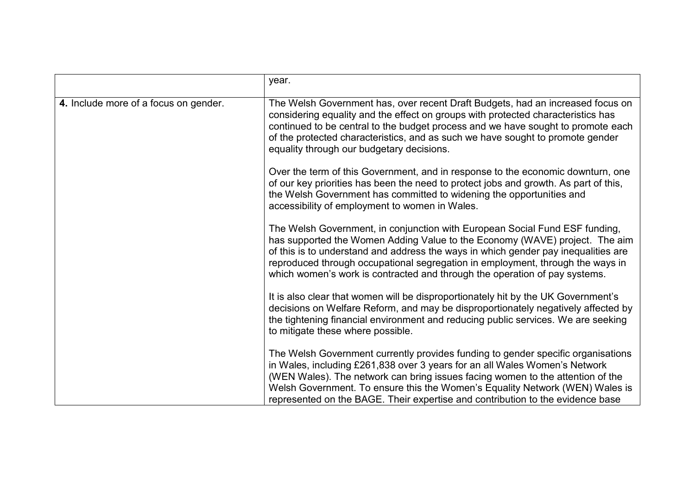|                                       | year.                                                                                                                                                                                                                                                                                                                                                                                                              |
|---------------------------------------|--------------------------------------------------------------------------------------------------------------------------------------------------------------------------------------------------------------------------------------------------------------------------------------------------------------------------------------------------------------------------------------------------------------------|
| 4. Include more of a focus on gender. | The Welsh Government has, over recent Draft Budgets, had an increased focus on<br>considering equality and the effect on groups with protected characteristics has<br>continued to be central to the budget process and we have sought to promote each<br>of the protected characteristics, and as such we have sought to promote gender<br>equality through our budgetary decisions.                              |
|                                       | Over the term of this Government, and in response to the economic downturn, one<br>of our key priorities has been the need to protect jobs and growth. As part of this,<br>the Welsh Government has committed to widening the opportunities and<br>accessibility of employment to women in Wales.                                                                                                                  |
|                                       | The Welsh Government, in conjunction with European Social Fund ESF funding,<br>has supported the Women Adding Value to the Economy (WAVE) project. The aim<br>of this is to understand and address the ways in which gender pay inequalities are<br>reproduced through occupational segregation in employment, through the ways in<br>which women's work is contracted and through the operation of pay systems.   |
|                                       | It is also clear that women will be disproportionately hit by the UK Government's<br>decisions on Welfare Reform, and may be disproportionately negatively affected by<br>the tightening financial environment and reducing public services. We are seeking<br>to mitigate these where possible.                                                                                                                   |
|                                       | The Welsh Government currently provides funding to gender specific organisations<br>in Wales, including £261,838 over 3 years for an all Wales Women's Network<br>(WEN Wales). The network can bring issues facing women to the attention of the<br>Welsh Government. To ensure this the Women's Equality Network (WEN) Wales is<br>represented on the BAGE. Their expertise and contribution to the evidence base |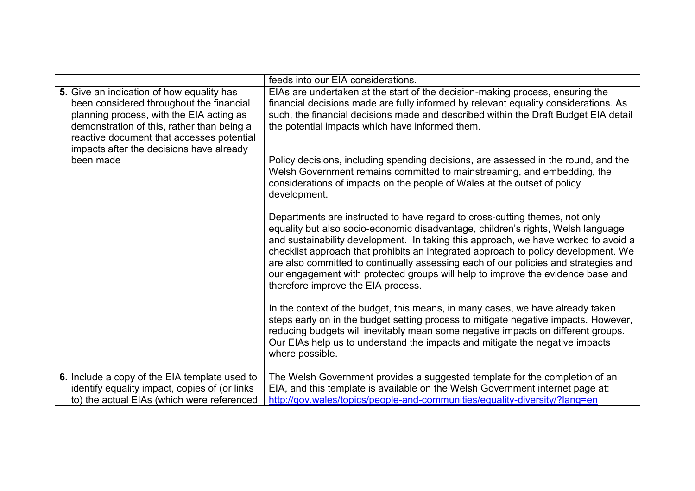|                                                                                                                                                                                                                                                                          | feeds into our EIA considerations.                                                                                                                                                                                                                                                                                                                                                                                                                                                                                                                          |
|--------------------------------------------------------------------------------------------------------------------------------------------------------------------------------------------------------------------------------------------------------------------------|-------------------------------------------------------------------------------------------------------------------------------------------------------------------------------------------------------------------------------------------------------------------------------------------------------------------------------------------------------------------------------------------------------------------------------------------------------------------------------------------------------------------------------------------------------------|
| 5. Give an indication of how equality has<br>been considered throughout the financial<br>planning process, with the EIA acting as<br>demonstration of this, rather than being a<br>reactive document that accesses potential<br>impacts after the decisions have already | EIAs are undertaken at the start of the decision-making process, ensuring the<br>financial decisions made are fully informed by relevant equality considerations. As<br>such, the financial decisions made and described within the Draft Budget EIA detail<br>the potential impacts which have informed them.                                                                                                                                                                                                                                              |
| been made                                                                                                                                                                                                                                                                | Policy decisions, including spending decisions, are assessed in the round, and the<br>Welsh Government remains committed to mainstreaming, and embedding, the<br>considerations of impacts on the people of Wales at the outset of policy<br>development.                                                                                                                                                                                                                                                                                                   |
|                                                                                                                                                                                                                                                                          | Departments are instructed to have regard to cross-cutting themes, not only<br>equality but also socio-economic disadvantage, children's rights, Welsh language<br>and sustainability development. In taking this approach, we have worked to avoid a<br>checklist approach that prohibits an integrated approach to policy development. We<br>are also committed to continually assessing each of our policies and strategies and<br>our engagement with protected groups will help to improve the evidence base and<br>therefore improve the EIA process. |
|                                                                                                                                                                                                                                                                          | In the context of the budget, this means, in many cases, we have already taken<br>steps early on in the budget setting process to mitigate negative impacts. However,<br>reducing budgets will inevitably mean some negative impacts on different groups.<br>Our EIAs help us to understand the impacts and mitigate the negative impacts<br>where possible.                                                                                                                                                                                                |
| 6. Include a copy of the EIA template used to<br>identify equality impact, copies of (or links)<br>to) the actual EIAs (which were referenced                                                                                                                            | The Welsh Government provides a suggested template for the completion of an<br>EIA, and this template is available on the Welsh Government internet page at:<br>http://gov.wales/topics/people-and-communities/equality-diversity/?lang=en                                                                                                                                                                                                                                                                                                                  |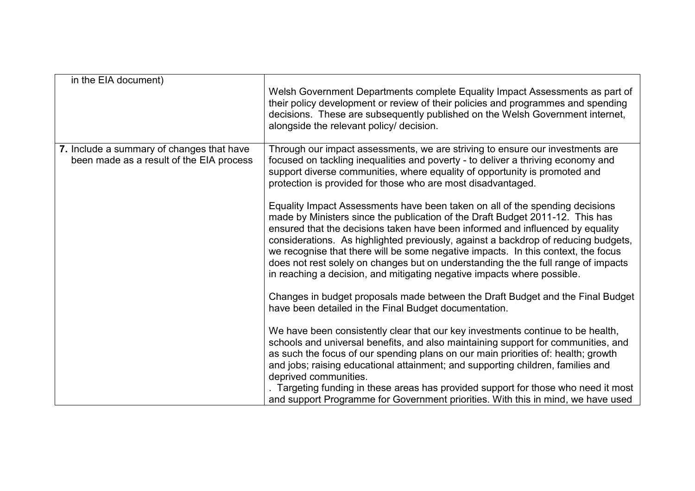| in the EIA document)                                                                  |                                                                                                                                                                                                                                                                                                                                                                                                                                                                                                                                                                                             |
|---------------------------------------------------------------------------------------|---------------------------------------------------------------------------------------------------------------------------------------------------------------------------------------------------------------------------------------------------------------------------------------------------------------------------------------------------------------------------------------------------------------------------------------------------------------------------------------------------------------------------------------------------------------------------------------------|
|                                                                                       | Welsh Government Departments complete Equality Impact Assessments as part of<br>their policy development or review of their policies and programmes and spending<br>decisions. These are subsequently published on the Welsh Government internet,<br>alongside the relevant policy/ decision.                                                                                                                                                                                                                                                                                               |
| 7. Include a summary of changes that have<br>been made as a result of the EIA process | Through our impact assessments, we are striving to ensure our investments are<br>focused on tackling inequalities and poverty - to deliver a thriving economy and<br>support diverse communities, where equality of opportunity is promoted and<br>protection is provided for those who are most disadvantaged.                                                                                                                                                                                                                                                                             |
|                                                                                       | Equality Impact Assessments have been taken on all of the spending decisions<br>made by Ministers since the publication of the Draft Budget 2011-12. This has<br>ensured that the decisions taken have been informed and influenced by equality<br>considerations. As highlighted previously, against a backdrop of reducing budgets,<br>we recognise that there will be some negative impacts. In this context, the focus<br>does not rest solely on changes but on understanding the the full range of impacts<br>in reaching a decision, and mitigating negative impacts where possible. |
|                                                                                       | Changes in budget proposals made between the Draft Budget and the Final Budget<br>have been detailed in the Final Budget documentation.                                                                                                                                                                                                                                                                                                                                                                                                                                                     |
|                                                                                       | We have been consistently clear that our key investments continue to be health,<br>schools and universal benefits, and also maintaining support for communities, and<br>as such the focus of our spending plans on our main priorities of: health; growth<br>and jobs; raising educational attainment; and supporting children, families and<br>deprived communities.                                                                                                                                                                                                                       |
|                                                                                       | Targeting funding in these areas has provided support for those who need it most<br>and support Programme for Government priorities. With this in mind, we have used                                                                                                                                                                                                                                                                                                                                                                                                                        |